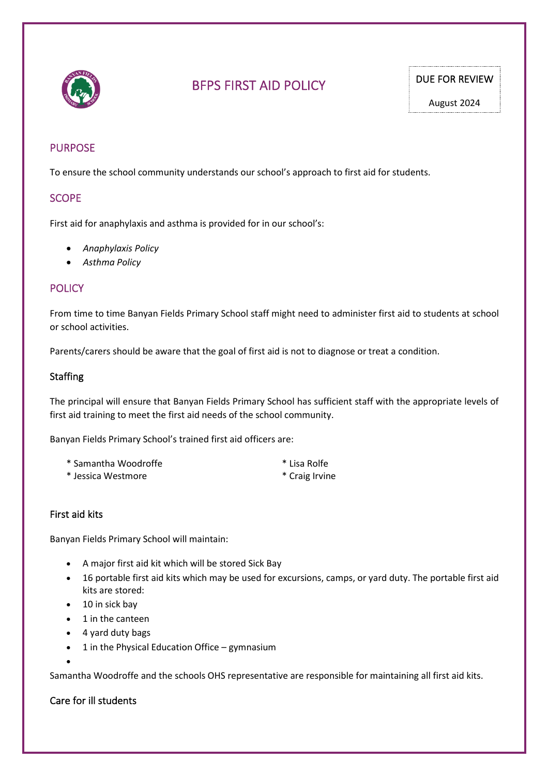

# BFPS FIRST AID POLICY DUE FOR REVIEW

# PURPOSE

To ensure the school community understands our school's approach to first aid for students.

## **SCOPE**

First aid for anaphylaxis and asthma is provided for in our school's:

- *Anaphylaxis Policy*
- *Asthma Policy*

## **POLICY**

From time to time Banyan Fields Primary School staff might need to administer first aid to students at school or school activities.

Parents/carers should be aware that the goal of first aid is not to diagnose or treat a condition.

#### **Staffing**

The principal will ensure that Banyan Fields Primary School has sufficient staff with the appropriate levels of first aid training to meet the first aid needs of the school community.

Banyan Fields Primary School's trained first aid officers are:

- \* Samantha Woodroffe \* Lisa Rolfe
	-
- \* Jessica Westmore \* Craig Irvine

## First aid kits

Banyan Fields Primary School will maintain:

- A major first aid kit which will be stored Sick Bay
- 16 portable first aid kits which may be used for excursions, camps, or yard duty. The portable first aid kits are stored:
- 10 in sick bay
- 1 in the canteen
- 4 yard duty bags
- 1 in the Physical Education Office gymnasium

Samantha Woodroffe and the schools OHS representative are responsible for maintaining all first aid kits.

## Care for ill students

•